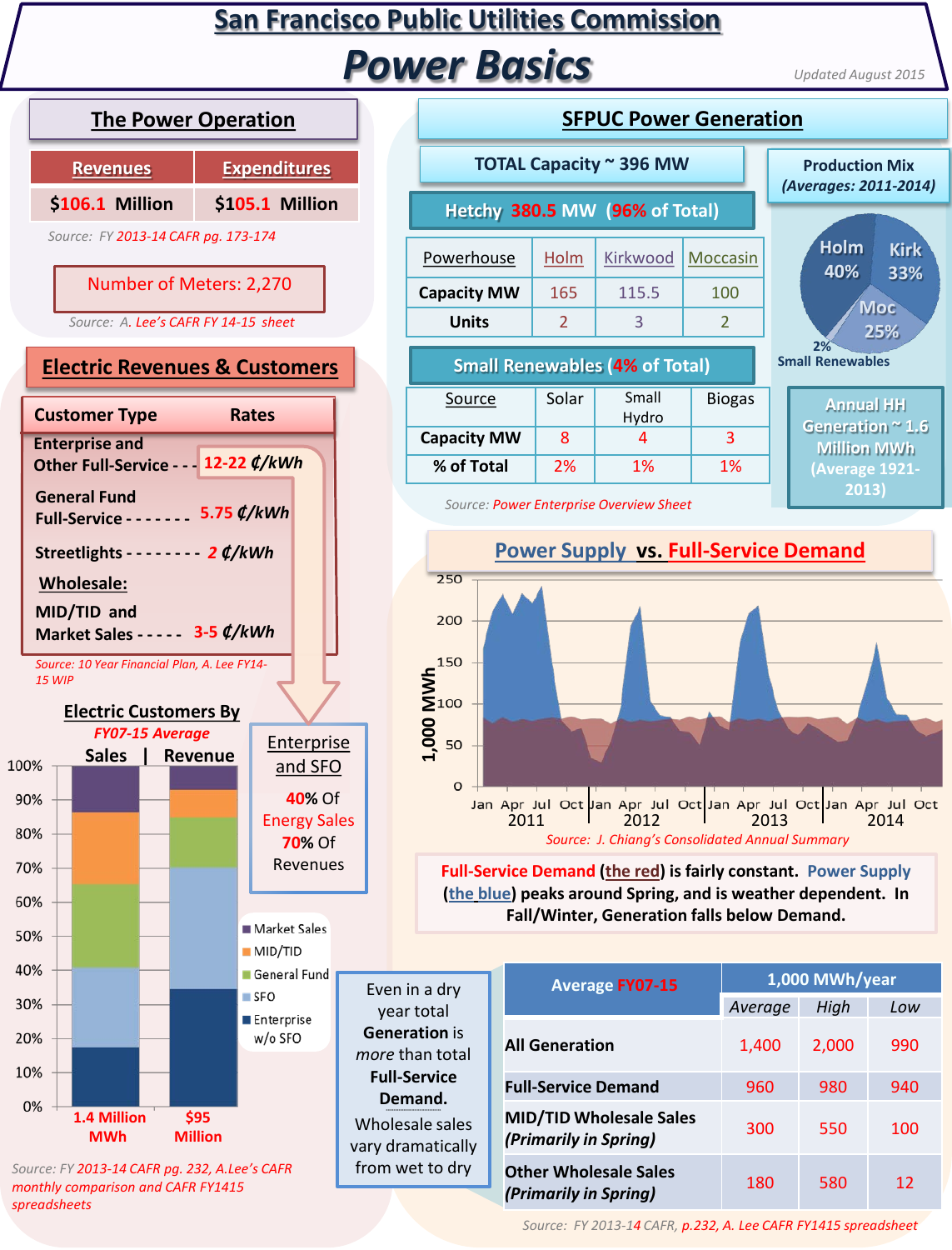## **San Francisco Public Utilities Commission** *Power Basics*

*Updated August 2015*



| TOTAL Capacity ~ 396 MW                 |                |                                       |                |  | <b>Production Mix</b><br>(Averages: 2011-2014)  |                    |  |
|-----------------------------------------|----------------|---------------------------------------|----------------|--|-------------------------------------------------|--------------------|--|
| Hetchy 380.5 MW (96% of Total)          |                |                                       |                |  |                                                 |                    |  |
| Powerhouse                              | Holm           | Kirkwood                              | Moccasin       |  | <b>Holm</b><br>40%                              | <b>Kirk</b><br>33% |  |
| <b>Capacity MW</b>                      | 165            | 115.5                                 | 100            |  |                                                 |                    |  |
| <b>Units</b>                            | $\overline{2}$ | 3                                     | $\overline{2}$ |  | <b>Moc</b><br>25%                               |                    |  |
|                                         |                | <b>Small Renewables (4% of Total)</b> |                |  | 2%<br><b>Small Renewables</b>                   |                    |  |
| Source                                  | Solar          | Small<br>Hydro                        | <b>Biogas</b>  |  | <b>Annual HH</b><br>Generation <sup>~</sup> 1.6 |                    |  |
| <b>Capacity MW</b>                      | 8              | 4                                     | 3              |  | <b>Million MWh</b>                              |                    |  |
| % of Total                              | 2%             | 1%                                    | 1%             |  | (Average 1921-                                  |                    |  |
| Course: Dower Enterprise Quantion Choot |                |                                       |                |  | 2013)                                           |                    |  |

**SFPUC Power Generation**



**Full-Service Demand (the red) is fairly constant. Power Supply (the blue) peaks around Spring, and is weather dependent. In Fall/Winter, Generation falls below Demand.**

|   | <b>Average FY07-15</b>                                  | 1,000 MWh/year |       |     |  |
|---|---------------------------------------------------------|----------------|-------|-----|--|
|   |                                                         | Average        | High  | Low |  |
|   | <b>All Generation</b>                                   | 1,400          | 2,000 | 990 |  |
|   | <b>Full-Service Demand</b>                              | 960            | 980   | 940 |  |
| y | <b>MID/TID Wholesale Sales</b><br>(Primarily in Spring) | 300            | 550   | 100 |  |
|   | <b>Other Wholesale Sales</b><br>(Primarily in Spring)   | 180            | 580   | 12  |  |

*Source: FY 2013-14 CAFR, p.232, A. Lee CAFR FY1415 spreadsheet*